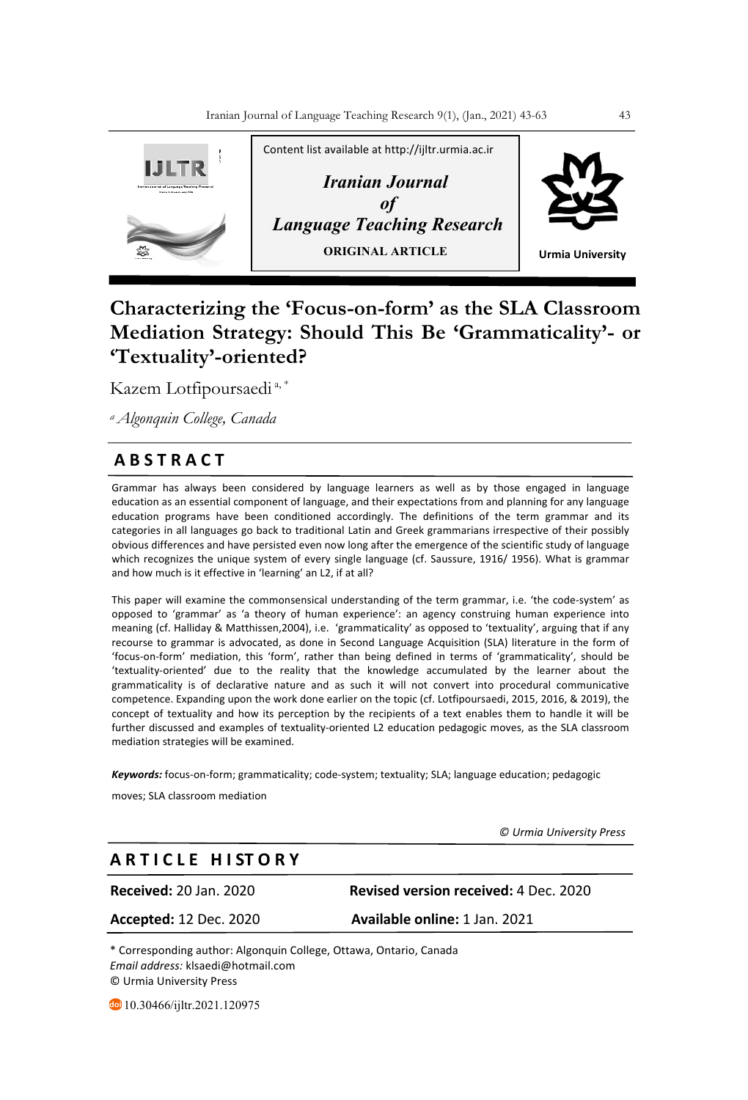

# **Characterizing the 'Focus-on-form' as the SLA Classroom Mediation Strategy: Should This Be 'Grammaticality'- or 'Textuality'-oriented?**

Kazem Lotfipoursaedi a, \*

*a Algonquin College, Canada*

## **A B S T R A C T**

Grammar has always been considered by language learners as well as by those engaged in language education as an essential component of language, and their expectations from and planning for any language education programs have been conditioned accordingly. The definitions of the term grammar and its categories in all languages go back to traditional Latin and Greek grammarians irrespective of their possibly obvious differences and have persisted even now long after the emergence of the scientific study of language which recognizes the unique system of every single language (cf. Saussure, 1916/ 1956). What is grammar and how much is it effective in 'learning' an L2, if at all?

This paper will examine the commonsensical understanding of the term grammar, i.e. 'the code-system' as opposed to 'grammar' as 'a theory of human experience': an agency construing human experience into meaning (cf. Halliday & Matthissen,2004), i.e. 'grammaticality' as opposed to 'textuality', arguing that if any recourse to grammar is advocated, as done in Second Language Acquisition (SLA) literature in the form of 'focus-on-form' mediation, this 'form', rather than being defined in terms of 'grammaticality', should be 'textuality-oriented' due to the reality that the knowledge accumulated by the learner about the grammaticality is of declarative nature and as such it will not convert into procedural communicative competence. Expanding upon the work done earlier on the topic (cf. Lotfipoursaedi, 2015, 2016, & 2019), the concept of textuality and how its perception by the recipients of a text enables them to handle it will be further discussed and examples of textuality-oriented L2 education pedagogic moves, as the SLA classroom mediation strategies will be examined.

*Keywords:* focus-on-form; grammaticality; code-system; textuality; SLA; language education; pedagogic

moves; SLA classroom mediation

 *© Urmia University Press*

## **A R T I C L E H I ST O R Y**

**Accepted:** 12 Dec. 2020 **Available online:** 1 Jan. 2021

**Received:** 20 Jan. 2020 **Revised version received:** 4 Dec. 2020

\* Corresponding author: Algonquin College, Ottawa, Ontario, Canada *Email address:* klsaedi@hotmail.com © Urmia University Press

10.30466/ijltr.2021.120975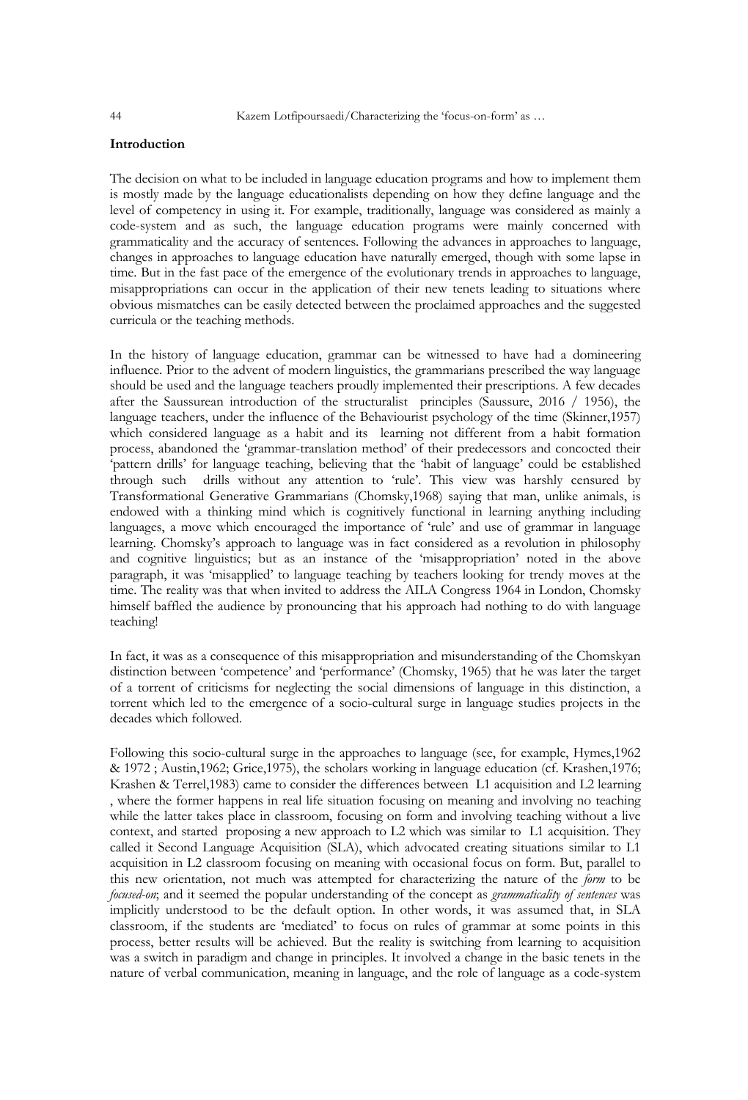## **Introduction**

The decision on what to be included in language education programs and how to implement them is mostly made by the language educationalists depending on how they define language and the level of competency in using it. For example, traditionally, language was considered as mainly a code-system and as such, the language education programs were mainly concerned with grammaticality and the accuracy of sentences. Following the advances in approaches to language, changes in approaches to language education have naturally emerged, though with some lapse in time. But in the fast pace of the emergence of the evolutionary trends in approaches to language, misappropriations can occur in the application of their new tenets leading to situations where obvious mismatches can be easily detected between the proclaimed approaches and the suggested curricula or the teaching methods.

In the history of language education, grammar can be witnessed to have had a domineering influence. Prior to the advent of modern linguistics, the grammarians prescribed the way language should be used and the language teachers proudly implemented their prescriptions. A few decades after the Saussurean introduction of the structuralist principles (Saussure, 2016 / 1956), the language teachers, under the influence of the Behaviourist psychology of the time (Skinner,1957) which considered language as a habit and its learning not different from a habit formation process, abandoned the 'grammar-translation method' of their predecessors and concocted their 'pattern drills' for language teaching, believing that the 'habit of language' could be established through such drills without any attention to 'rule'. This view was harshly censured by Transformational Generative Grammarians (Chomsky,1968) saying that man, unlike animals, is endowed with a thinking mind which is cognitively functional in learning anything including languages, a move which encouraged the importance of 'rule' and use of grammar in language learning. Chomsky's approach to language was in fact considered as a revolution in philosophy and cognitive linguistics; but as an instance of the 'misappropriation' noted in the above paragraph, it was 'misapplied' to language teaching by teachers looking for trendy moves at the time. The reality was that when invited to address the AILA Congress 1964 in London, Chomsky himself baffled the audience by pronouncing that his approach had nothing to do with language teaching!

In fact, it was as a consequence of this misappropriation and misunderstanding of the Chomskyan distinction between 'competence' and 'performance' (Chomsky, 1965) that he was later the target of a torrent of criticisms for neglecting the social dimensions of language in this distinction, a torrent which led to the emergence of a socio-cultural surge in language studies projects in the decades which followed.

Following this socio-cultural surge in the approaches to language (see, for example, Hymes,1962 & 1972 ; Austin,1962; Grice,1975), the scholars working in language education (cf. Krashen,1976; Krashen & Terrel,1983) came to consider the differences between L1 acquisition and L2 learning , where the former happens in real life situation focusing on meaning and involving no teaching while the latter takes place in classroom, focusing on form and involving teaching without a live context, and started proposing a new approach to L2 which was similar to L1 acquisition. They called it Second Language Acquisition (SLA), which advocated creating situations similar to L1 acquisition in L2 classroom focusing on meaning with occasional focus on form. But, parallel to this new orientation, not much was attempted for characterizing the nature of the *form* to be *focused-on*; and it seemed the popular understanding of the concept as *grammaticality of sentences* was implicitly understood to be the default option. In other words, it was assumed that, in SLA classroom, if the students are 'mediated' to focus on rules of grammar at some points in this process, better results will be achieved. But the reality is switching from learning to acquisition was a switch in paradigm and change in principles. It involved a change in the basic tenets in the nature of verbal communication, meaning in language, and the role of language as a code-system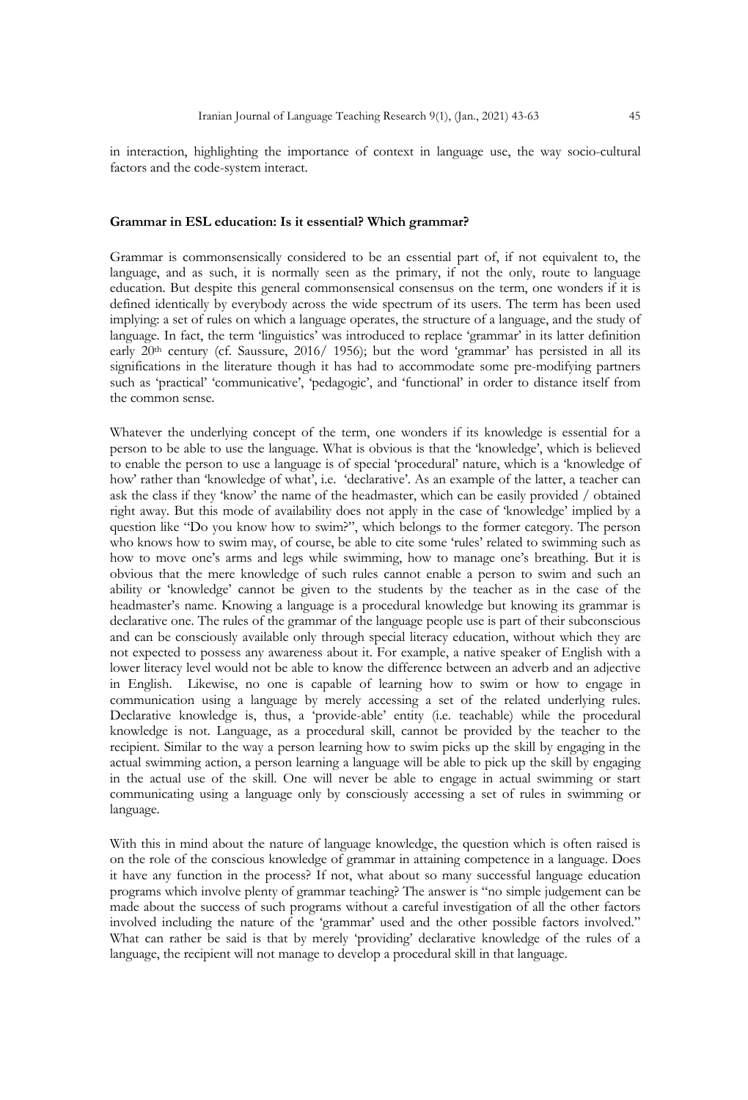in interaction, highlighting the importance of context in language use, the way socio-cultural factors and the code-system interact.

#### **Grammar in ESL education: Is it essential? Which grammar?**

Grammar is commonsensically considered to be an essential part of, if not equivalent to, the language, and as such, it is normally seen as the primary, if not the only, route to language education. But despite this general commonsensical consensus on the term, one wonders if it is defined identically by everybody across the wide spectrum of its users. The term has been used implying: a set of rules on which a language operates, the structure of a language, and the study of language. In fact, the term 'linguistics' was introduced to replace 'grammar' in its latter definition early 20<sup>th</sup> century (cf. Saussure, 2016/ 1956); but the word 'grammar' has persisted in all its significations in the literature though it has had to accommodate some pre-modifying partners such as 'practical' 'communicative', 'pedagogic', and 'functional' in order to distance itself from the common sense.

Whatever the underlying concept of the term, one wonders if its knowledge is essential for a person to be able to use the language. What is obvious is that the 'knowledge', which is believed to enable the person to use a language is of special 'procedural' nature, which is a 'knowledge of how' rather than 'knowledge of what', i.e. 'declarative'. As an example of the latter, a teacher can ask the class if they 'know' the name of the headmaster, which can be easily provided / obtained right away. But this mode of availability does not apply in the case of 'knowledge' implied by a question like "Do you know how to swim?", which belongs to the former category. The person who knows how to swim may, of course, be able to cite some 'rules' related to swimming such as how to move one's arms and legs while swimming, how to manage one's breathing. But it is obvious that the mere knowledge of such rules cannot enable a person to swim and such an ability or 'knowledge' cannot be given to the students by the teacher as in the case of the headmaster's name. Knowing a language is a procedural knowledge but knowing its grammar is declarative one. The rules of the grammar of the language people use is part of their subconscious and can be consciously available only through special literacy education, without which they are not expected to possess any awareness about it. For example, a native speaker of English with a lower literacy level would not be able to know the difference between an adverb and an adjective in English. Likewise, no one is capable of learning how to swim or how to engage in communication using a language by merely accessing a set of the related underlying rules. Declarative knowledge is, thus, a 'provide-able' entity (i.e. teachable) while the procedural knowledge is not. Language, as a procedural skill, cannot be provided by the teacher to the recipient. Similar to the way a person learning how to swim picks up the skill by engaging in the actual swimming action, a person learning a language will be able to pick up the skill by engaging in the actual use of the skill. One will never be able to engage in actual swimming or start communicating using a language only by consciously accessing a set of rules in swimming or language.

With this in mind about the nature of language knowledge, the question which is often raised is on the role of the conscious knowledge of grammar in attaining competence in a language. Does it have any function in the process? If not, what about so many successful language education programs which involve plenty of grammar teaching? The answer is "no simple judgement can be made about the success of such programs without a careful investigation of all the other factors involved including the nature of the 'grammar' used and the other possible factors involved." What can rather be said is that by merely 'providing' declarative knowledge of the rules of a language, the recipient will not manage to develop a procedural skill in that language.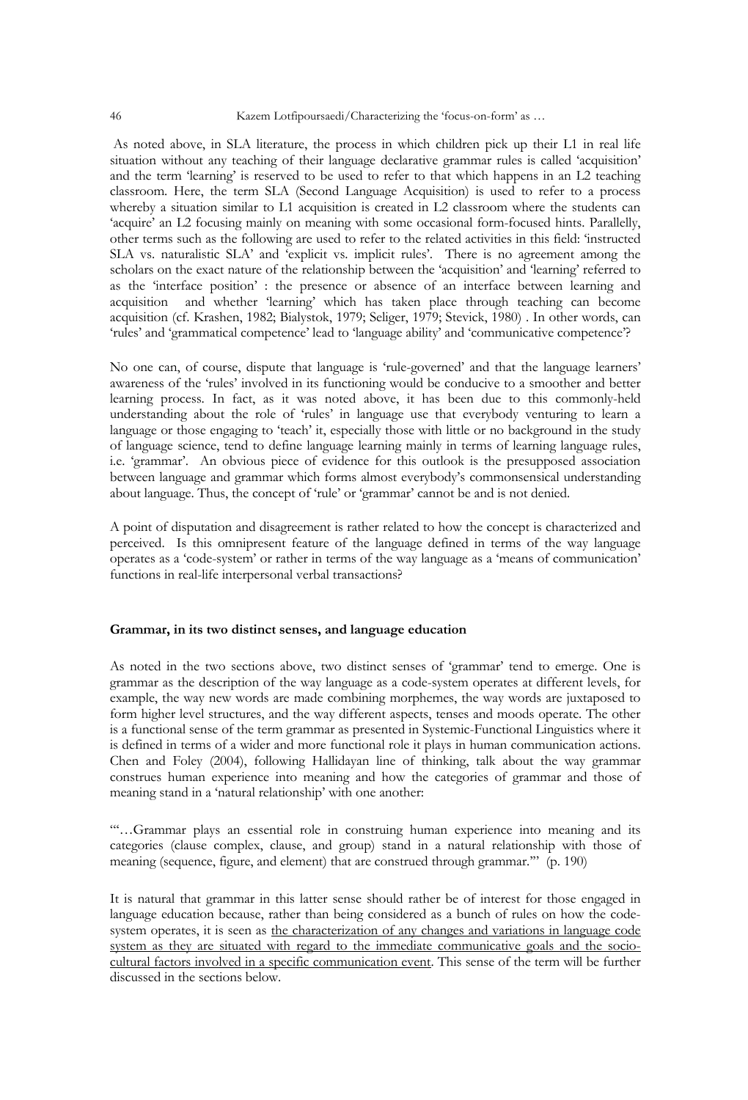As noted above, in SLA literature, the process in which children pick up their L1 in real life situation without any teaching of their language declarative grammar rules is called 'acquisition' and the term 'learning' is reserved to be used to refer to that which happens in an L2 teaching classroom. Here, the term SLA (Second Language Acquisition) is used to refer to a process whereby a situation similar to L1 acquisition is created in L2 classroom where the students can 'acquire' an L2 focusing mainly on meaning with some occasional form-focused hints. Parallelly, other terms such as the following are used to refer to the related activities in this field: 'instructed SLA vs. naturalistic SLA' and 'explicit vs. implicit rules'. There is no agreement among the scholars on the exact nature of the relationship between the 'acquisition' and 'learning' referred to as the 'interface position' : the presence or absence of an interface between learning and acquisition and whether 'learning' which has taken place through teaching can become acquisition (cf. Krashen, 1982; Bialystok, 1979; Seliger, 1979; Stevick, 1980) . In other words, can 'rules' and 'grammatical competence' lead to 'language ability' and 'communicative competence'?

No one can, of course, dispute that language is 'rule-governed' and that the language learners' awareness of the 'rules' involved in its functioning would be conducive to a smoother and better learning process. In fact, as it was noted above, it has been due to this commonly-held understanding about the role of 'rules' in language use that everybody venturing to learn a language or those engaging to 'teach' it, especially those with little or no background in the study of language science, tend to define language learning mainly in terms of learning language rules, i.e. 'grammar'. An obvious piece of evidence for this outlook is the presupposed association between language and grammar which forms almost everybody's commonsensical understanding about language. Thus, the concept of 'rule' or 'grammar' cannot be and is not denied.

A point of disputation and disagreement is rather related to how the concept is characterized and perceived. Is this omnipresent feature of the language defined in terms of the way language operates as a 'code-system' or rather in terms of the way language as a 'means of communication' functions in real-life interpersonal verbal transactions?

#### **Grammar, in its two distinct senses, and language education**

As noted in the two sections above, two distinct senses of 'grammar' tend to emerge. One is grammar as the description of the way language as a code-system operates at different levels, for example, the way new words are made combining morphemes, the way words are juxtaposed to form higher level structures, and the way different aspects, tenses and moods operate. The other is a functional sense of the term grammar as presented in Systemic-Functional Linguistics where it is defined in terms of a wider and more functional role it plays in human communication actions. Chen and Foley (2004), following Hallidayan line of thinking, talk about the way grammar construes human experience into meaning and how the categories of grammar and those of meaning stand in a 'natural relationship' with one another:

"'…Grammar plays an essential role in construing human experience into meaning and its categories (clause complex, clause, and group) stand in a natural relationship with those of meaning (sequence, figure, and element) that are construed through grammar.'" (p. 190)

It is natural that grammar in this latter sense should rather be of interest for those engaged in language education because, rather than being considered as a bunch of rules on how the codesystem operates, it is seen as the characterization of any changes and variations in language code system as they are situated with regard to the immediate communicative goals and the sociocultural factors involved in a specific communication event. This sense of the term will be further discussed in the sections below.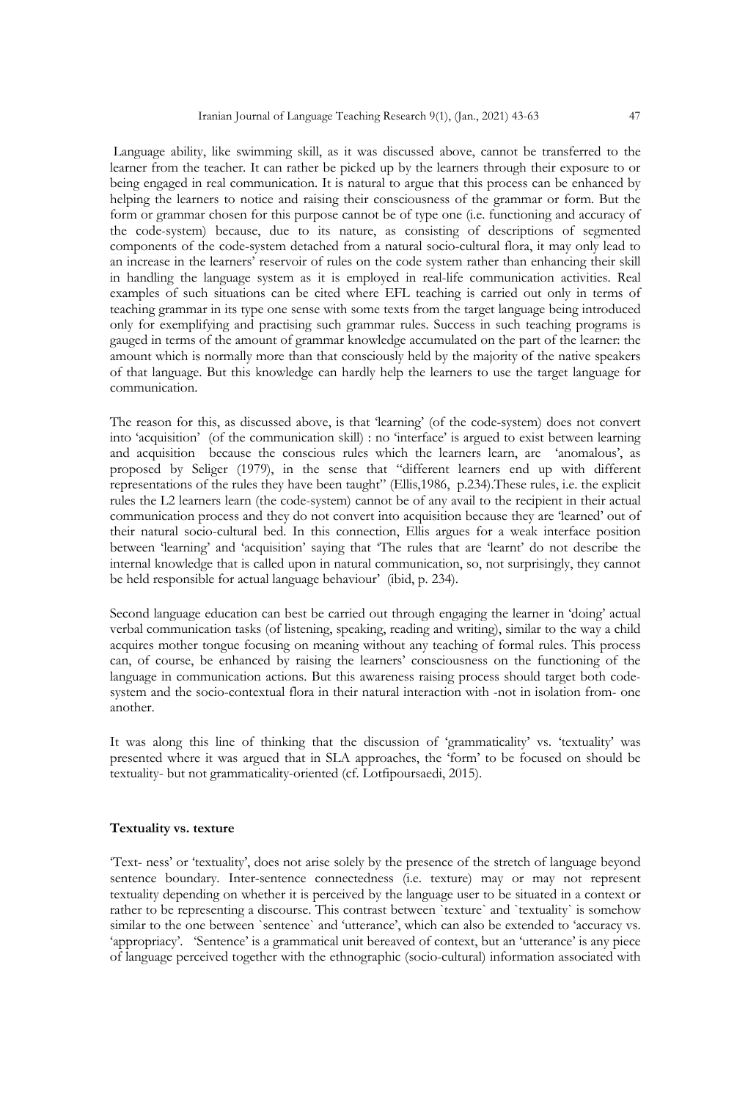Language ability, like swimming skill, as it was discussed above, cannot be transferred to the learner from the teacher. It can rather be picked up by the learners through their exposure to or being engaged in real communication. It is natural to argue that this process can be enhanced by helping the learners to notice and raising their consciousness of the grammar or form. But the form or grammar chosen for this purpose cannot be of type one (i.e. functioning and accuracy of the code-system) because, due to its nature, as consisting of descriptions of segmented components of the code-system detached from a natural socio-cultural flora, it may only lead to an increase in the learners' reservoir of rules on the code system rather than enhancing their skill in handling the language system as it is employed in real-life communication activities. Real examples of such situations can be cited where EFL teaching is carried out only in terms of teaching grammar in its type one sense with some texts from the target language being introduced only for exemplifying and practising such grammar rules. Success in such teaching programs is gauged in terms of the amount of grammar knowledge accumulated on the part of the learner: the amount which is normally more than that consciously held by the majority of the native speakers of that language. But this knowledge can hardly help the learners to use the target language for communication.

The reason for this, as discussed above, is that 'learning' (of the code-system) does not convert into 'acquisition' (of the communication skill) : no 'interface' is argued to exist between learning and acquisition because the conscious rules which the learners learn, are 'anomalous', as proposed by Seliger (1979), in the sense that "different learners end up with different representations of the rules they have been taught" (Ellis,1986, p.234).These rules, i.e. the explicit rules the L2 learners learn (the code-system) cannot be of any avail to the recipient in their actual communication process and they do not convert into acquisition because they are 'learned' out of their natural socio-cultural bed. In this connection, Ellis argues for a weak interface position between 'learning' and 'acquisition' saying that 'The rules that are 'learnt' do not describe the internal knowledge that is called upon in natural communication, so, not surprisingly, they cannot be held responsible for actual language behaviour' (ibid, p. 234).

Second language education can best be carried out through engaging the learner in 'doing' actual verbal communication tasks (of listening, speaking, reading and writing), similar to the way a child acquires mother tongue focusing on meaning without any teaching of formal rules. This process can, of course, be enhanced by raising the learners' consciousness on the functioning of the language in communication actions. But this awareness raising process should target both codesystem and the socio-contextual flora in their natural interaction with -not in isolation from- one another.

It was along this line of thinking that the discussion of 'grammaticality' vs. 'textuality' was presented where it was argued that in SLA approaches, the 'form' to be focused on should be textuality- but not grammaticality-oriented (cf. Lotfipoursaedi, 2015).

#### **Textuality vs. texture**

'Text- ness' or 'textuality', does not arise solely by the presence of the stretch of language beyond sentence boundary. Inter-sentence connectedness (i.e. texture) may or may not represent textuality depending on whether it is perceived by the language user to be situated in a context or rather to be representing a discourse. This contrast between `texture` and `textuality` is somehow similar to the one between `sentence` and 'utterance', which can also be extended to 'accuracy vs. 'appropriacy'. 'Sentence' is a grammatical unit bereaved of context, but an 'utterance' is any piece of language perceived together with the ethnographic (socio-cultural) information associated with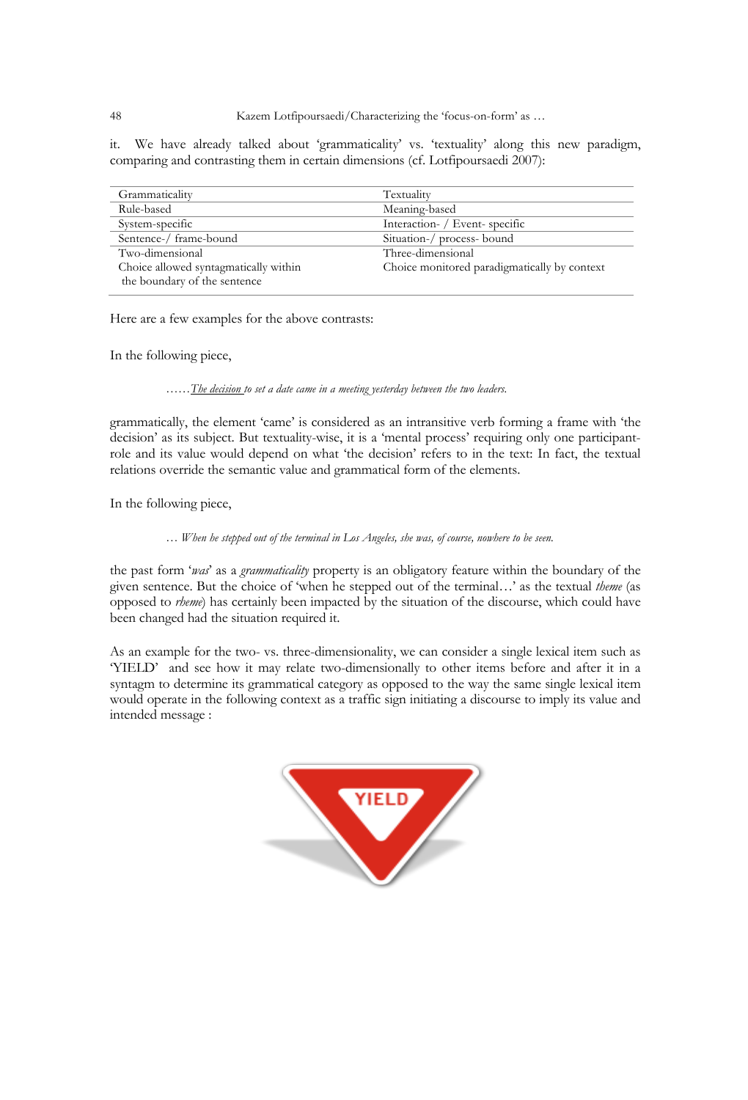it. We have already talked about 'grammaticality' vs. 'textuality' along this new paradigm, comparing and contrasting them in certain dimensions (cf. Lotfipoursaedi 2007):

| Grammaticality                        | Textuality                                   |
|---------------------------------------|----------------------------------------------|
| Rule-based                            | Meaning-based                                |
| System-specific                       | Interaction- / Event-specific                |
| Sentence-/ frame-bound                | Situation-/ process- bound                   |
| Two-dimensional                       | Three-dimensional                            |
| Choice allowed syntagmatically within | Choice monitored paradigmatically by context |
| the boundary of the sentence          |                                              |

Here are a few examples for the above contrasts:

In the following piece,

*……The decision to set a date came in a meeting yesterday between the two leaders.*

grammatically, the element 'came' is considered as an intransitive verb forming a frame with 'the decision' as its subject. But textuality-wise, it is a 'mental process' requiring only one participantrole and its value would depend on what 'the decision' refers to in the text: In fact, the textual relations override the semantic value and grammatical form of the elements.

In the following piece,

*… When he stepped out of the terminal in Los Angeles, she was, of course, nowhere to be seen.*

the past form '*was*' as a *grammaticality* property is an obligatory feature within the boundary of the given sentence. But the choice of 'when he stepped out of the terminal…' as the textual *theme* (as opposed to *rheme*) has certainly been impacted by the situation of the discourse, which could have been changed had the situation required it.

As an example for the two- vs. three-dimensionality, we can consider a single lexical item such as 'YIELD' and see how it may relate two-dimensionally to other items before and after it in a syntagm to determine its grammatical category as opposed to the way the same single lexical item would operate in the following context as a traffic sign initiating a discourse to imply its value and intended message :

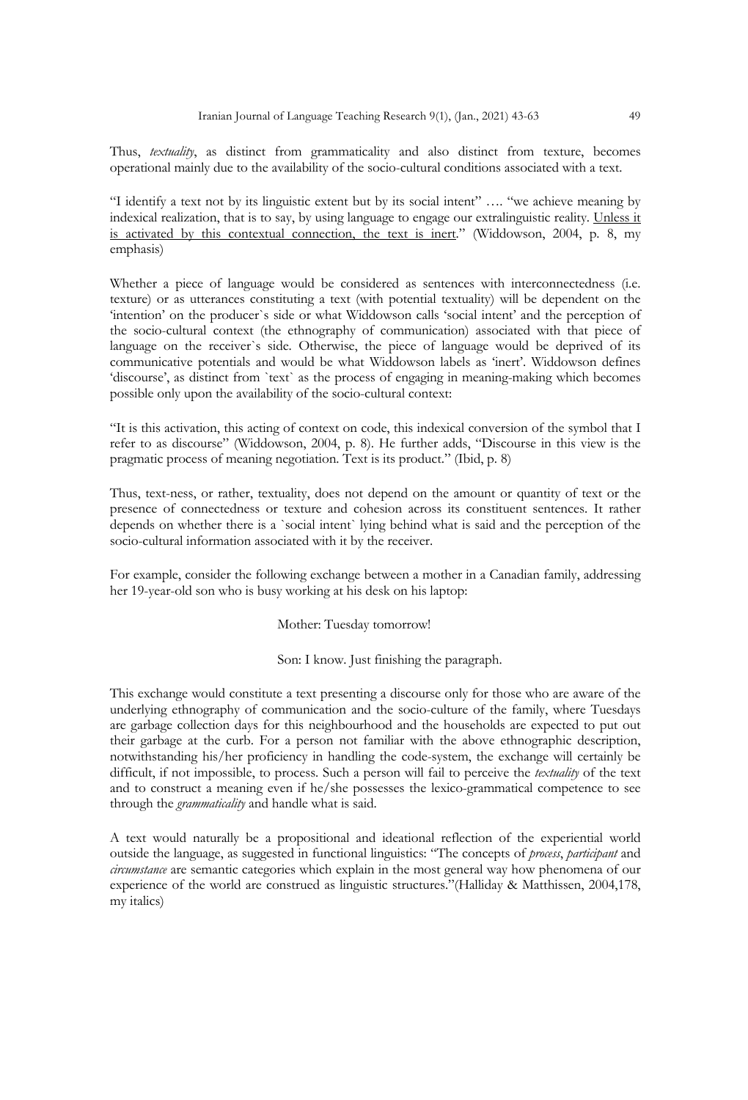Thus, *textuality*, as distinct from grammaticality and also distinct from texture, becomes operational mainly due to the availability of the socio-cultural conditions associated with a text.

"I identify a text not by its linguistic extent but by its social intent" …. "we achieve meaning by indexical realization, that is to say, by using language to engage our extralinguistic reality. Unless it is activated by this contextual connection, the text is inert." (Widdowson, 2004, p. 8, my emphasis)

Whether a piece of language would be considered as sentences with interconnectedness (i.e. texture) or as utterances constituting a text (with potential textuality) will be dependent on the 'intention' on the producer`s side or what Widdowson calls 'social intent' and the perception of the socio-cultural context (the ethnography of communication) associated with that piece of language on the receiver`s side. Otherwise, the piece of language would be deprived of its communicative potentials and would be what Widdowson labels as 'inert'. Widdowson defines 'discourse', as distinct from `text` as the process of engaging in meaning-making which becomes possible only upon the availability of the socio-cultural context:

"It is this activation, this acting of context on code, this indexical conversion of the symbol that I refer to as discourse" (Widdowson, 2004, p. 8). He further adds, "Discourse in this view is the pragmatic process of meaning negotiation. Text is its product." (Ibid, p. 8)

Thus, text-ness, or rather, textuality, does not depend on the amount or quantity of text or the presence of connectedness or texture and cohesion across its constituent sentences. It rather depends on whether there is a `social intent` lying behind what is said and the perception of the socio-cultural information associated with it by the receiver.

For example, consider the following exchange between a mother in a Canadian family, addressing her 19-year-old son who is busy working at his desk on his laptop:

#### Mother: Tuesday tomorrow!

Son: I know. Just finishing the paragraph.

This exchange would constitute a text presenting a discourse only for those who are aware of the underlying ethnography of communication and the socio-culture of the family, where Tuesdays are garbage collection days for this neighbourhood and the households are expected to put out their garbage at the curb. For a person not familiar with the above ethnographic description, notwithstanding his/her proficiency in handling the code-system, the exchange will certainly be difficult, if not impossible, to process. Such a person will fail to perceive the *textuality* of the text and to construct a meaning even if he/she possesses the lexico-grammatical competence to see through the *grammaticality* and handle what is said.

A text would naturally be a propositional and ideational reflection of the experiential world outside the language, as suggested in functional linguistics: "The concepts of *process*, *participant* and *circumstance* are semantic categories which explain in the most general way how phenomena of our experience of the world are construed as linguistic structures."(Halliday & Matthissen, 2004,178, my italics)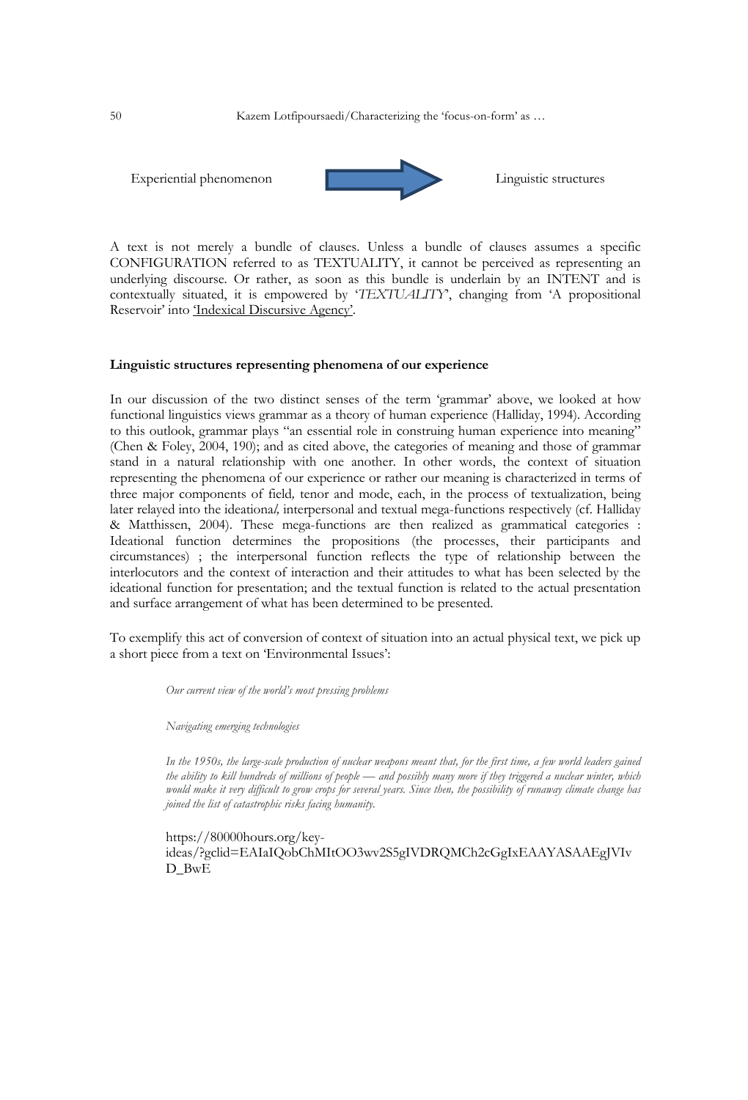

A text is not merely a bundle of clauses. Unless a bundle of clauses assumes a specific CONFIGURATION referred to as TEXTUALITY, it cannot be perceived as representing an underlying discourse. Or rather, as soon as this bundle is underlain by an INTENT and is contextually situated, it is empowered by '*TEXTUALITY*', changing from 'A propositional Reservoir' into 'Indexical Discursive Agency'.

## **Linguistic structures representing phenomena of our experience**

In our discussion of the two distinct senses of the term 'grammar' above, we looked at how functional linguistics views grammar as a theory of human experience (Halliday, 1994). According to this outlook, grammar plays "an essential role in construing human experience into meaning" (Chen & Foley, 2004, 190); and as cited above, the categories of meaning and those of grammar stand in a natural relationship with one another. In other words, the context of situation representing the phenomena of our experience or rather our meaning is characterized in terms of three major components of field*,* tenor and mode, each, in the process of textualization, being later relayed into the ideationa*l,* interpersonal and textual mega-functions respectively (cf. Halliday & Matthissen, 2004). These mega-functions are then realized as grammatical categories : Ideational function determines the propositions (the processes, their participants and circumstances) ; the interpersonal function reflects the type of relationship between the interlocutors and the context of interaction and their attitudes to what has been selected by the ideational function for presentation; and the textual function is related to the actual presentation and surface arrangement of what has been determined to be presented.

To exemplify this act of conversion of context of situation into an actual physical text, we pick up a short piece from a text on 'Environmental Issues':

*Our current view of the world's most pressing problems*

*Navigating emerging technologies*

*In the 1950s, the large-scale production of nuclear weapons meant that, for the first time, a few world leaders gained the ability to kill hundreds of millions of people — and possibly many more if they triggered a nuclear winter, which would make it very difficult to grow crops for several years. Since then, the possibility of runaway climate change has joined the list of catastrophic risks facing humanity.*

https://80000hours.org/keyideas/?gclid=EAIaIQobChMItOO3wv2S5gIVDRQMCh2cGgIxEAAYASAAEgJVIv D\_BwE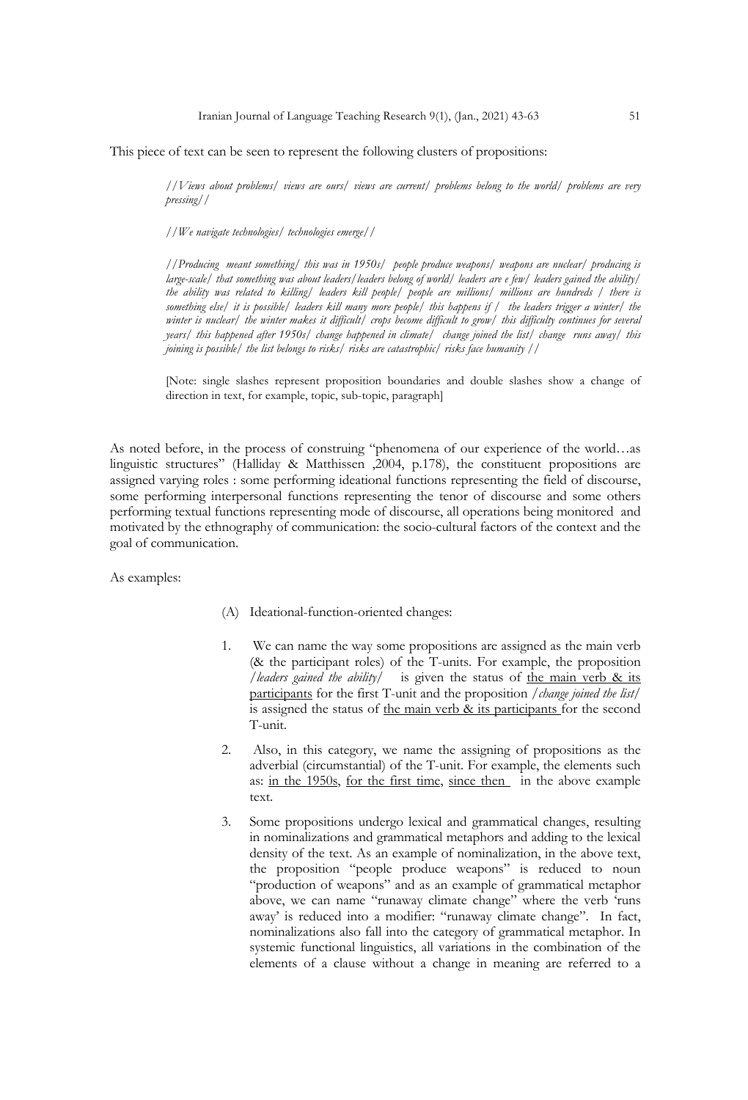This piece of text can be seen to represent the following clusters of propositions:

*//Views about problems/ views are ours/ views are current/ problems belong to the world/ problems are very pressing//*

*//We navigate technologies/ technologies emerge//*

*//Producing meant something/ this was in 1950s/ people produce weapons/ weapons are nuclear/ producing is large-scale/ that something was about leaders/leaders belong of world/ leaders are e few/ leaders gained the ability/ the ability was related to killing/ leaders kill people/ people are millions/ millions are hundreds / there is something else/ it is possible/ leaders kill many more people/ this happens if / the leaders trigger a winter/ the winter is nuclear/ the winter makes it difficult/ crops become difficult to grow/ this difficulty continues for several years/ this happened after 1950s/ change happened in climate/ change joined the list/ change runs away/ this joining is possible/ the list belongs to risks/ risks are catastrophic/ risks face humanity //*

[Note: single slashes represent proposition boundaries and double slashes show a change of direction in text, for example, topic, sub-topic, paragraph]

As noted before, in the process of construing "phenomena of our experience of the world…as linguistic structures" (Halliday & Matthissen ,2004, p.178), the constituent propositions are assigned varying roles : some performing ideational functions representing the field of discourse, some performing interpersonal functions representing the tenor of discourse and some others performing textual functions representing mode of discourse, all operations being monitored and motivated by the ethnography of communication: the socio-cultural factors of the context and the goal of communication.

As examples:

- (A) Ideational-function-oriented changes:
- 1. We can name the way some propositions are assigned as the main verb (& the participant roles) of the T-units. For example, the proposition */leaders gained the ability/* is given the status of the main verb & its participants for the first T-unit and the proposition */change joined the list/*  is assigned the status of the main verb & its participants for the second T-unit.
- 2. Also, in this category, we name the assigning of propositions as the adverbial (circumstantial) of the T-unit. For example, the elements such as: in the 1950s, for the first time, since then in the above example text.
- 3. Some propositions undergo lexical and grammatical changes, resulting in nominalizations and grammatical metaphors and adding to the lexical density of the text. As an example of nominalization, in the above text, the proposition "people produce weapons" is reduced to noun "production of weapons" and as an example of grammatical metaphor above, we can name "runaway climate change" where the verb 'runs away' is reduced into a modifier: "runaway climate change". In fact, nominalizations also fall into the category of grammatical metaphor. In systemic functional linguistics, all variations in the combination of the elements of a clause without a change in meaning are referred to a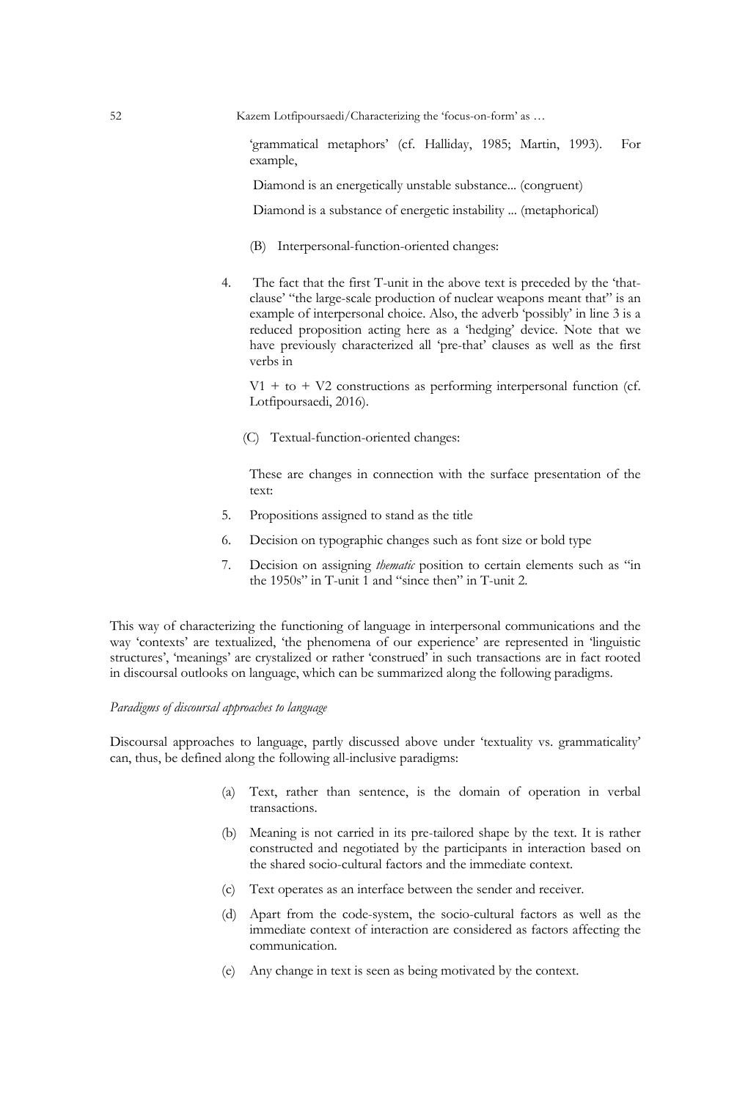52 Kazem Lotfipoursaedi/Characterizing the 'focus-on-form' as …

'grammatical metaphors' (cf. Halliday, 1985; Martin, 1993). For example,

Diamond is an energetically unstable substance... (congruent)

Diamond is a substance of energetic instability ... (metaphorical)

- (B) Interpersonal-function-oriented changes:
- 4. The fact that the first T-unit in the above text is preceded by the 'thatclause' "the large-scale production of nuclear weapons meant that" is an example of interpersonal choice. Also, the adverb 'possibly' in line 3 is a reduced proposition acting here as a 'hedging' device. Note that we have previously characterized all 'pre-that' clauses as well as the first verbs in

 $V1 + t0 + V2$  constructions as performing interpersonal function (cf. Lotfipoursaedi, 2016).

(C) Textual-function-oriented changes:

These are changes in connection with the surface presentation of the text:

- 5. Propositions assigned to stand as the title
- 6. Decision on typographic changes such as font size or bold type
- 7. Decision on assigning *thematic* position to certain elements such as "in the 1950s" in T-unit  $\overline{1}$  and "since then" in T-unit 2.

This way of characterizing the functioning of language in interpersonal communications and the way 'contexts' are textualized, 'the phenomena of our experience' are represented in 'linguistic structures', 'meanings' are crystalized or rather 'construed' in such transactions are in fact rooted in discoursal outlooks on language, which can be summarized along the following paradigms.

### *Paradigms of discoursal approaches to language*

Discoursal approaches to language, partly discussed above under 'textuality vs. grammaticality' can, thus, be defined along the following all-inclusive paradigms:

- (a) Text, rather than sentence, is the domain of operation in verbal transactions.
- (b) Meaning is not carried in its pre-tailored shape by the text. It is rather constructed and negotiated by the participants in interaction based on the shared socio-cultural factors and the immediate context.
- (c) Text operates as an interface between the sender and receiver.
- (d) Apart from the code-system, the socio-cultural factors as well as the immediate context of interaction are considered as factors affecting the communication.
- (e) Any change in text is seen as being motivated by the context.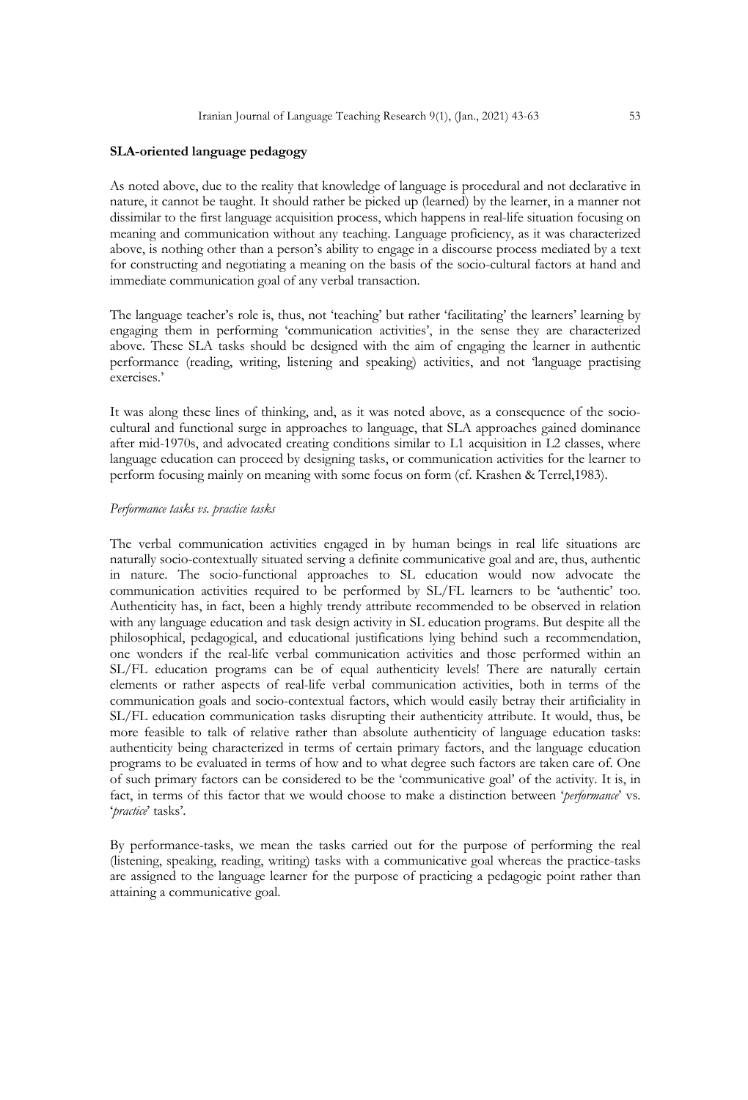#### **SLA-oriented language pedagogy**

As noted above, due to the reality that knowledge of language is procedural and not declarative in nature, it cannot be taught. It should rather be picked up (learned) by the learner, in a manner not dissimilar to the first language acquisition process, which happens in real-life situation focusing on meaning and communication without any teaching. Language proficiency, as it was characterized above, is nothing other than a person's ability to engage in a discourse process mediated by a text for constructing and negotiating a meaning on the basis of the socio-cultural factors at hand and immediate communication goal of any verbal transaction.

The language teacher's role is, thus, not 'teaching' but rather 'facilitating' the learners' learning by engaging them in performing 'communication activities', in the sense they are characterized above. These SLA tasks should be designed with the aim of engaging the learner in authentic performance (reading, writing, listening and speaking) activities, and not 'language practising exercises.'

It was along these lines of thinking, and, as it was noted above, as a consequence of the sociocultural and functional surge in approaches to language, that SLA approaches gained dominance after mid-1970s, and advocated creating conditions similar to L1 acquisition in L2 classes, where language education can proceed by designing tasks, or communication activities for the learner to perform focusing mainly on meaning with some focus on form (cf. Krashen & Terrel,1983).

#### *Performance tasks vs. practice tasks*

The verbal communication activities engaged in by human beings in real life situations are naturally socio-contextually situated serving a definite communicative goal and are, thus, authentic in nature. The socio-functional approaches to SL education would now advocate the communication activities required to be performed by SL/FL learners to be 'authentic' too. Authenticity has, in fact, been a highly trendy attribute recommended to be observed in relation with any language education and task design activity in SL education programs. But despite all the philosophical, pedagogical, and educational justifications lying behind such a recommendation, one wonders if the real-life verbal communication activities and those performed within an SL/FL education programs can be of equal authenticity levels! There are naturally certain elements or rather aspects of real-life verbal communication activities, both in terms of the communication goals and socio-contextual factors, which would easily betray their artificiality in SL/FL education communication tasks disrupting their authenticity attribute. It would, thus, be more feasible to talk of relative rather than absolute authenticity of language education tasks: authenticity being characterized in terms of certain primary factors, and the language education programs to be evaluated in terms of how and to what degree such factors are taken care of. One of such primary factors can be considered to be the 'communicative goal' of the activity. It is, in fact, in terms of this factor that we would choose to make a distinction between '*performance*' vs. '*practice*' tasks'.

By performance-tasks, we mean the tasks carried out for the purpose of performing the real (listening, speaking, reading, writing) tasks with a communicative goal whereas the practice-tasks are assigned to the language learner for the purpose of practicing a pedagogic point rather than attaining a communicative goal.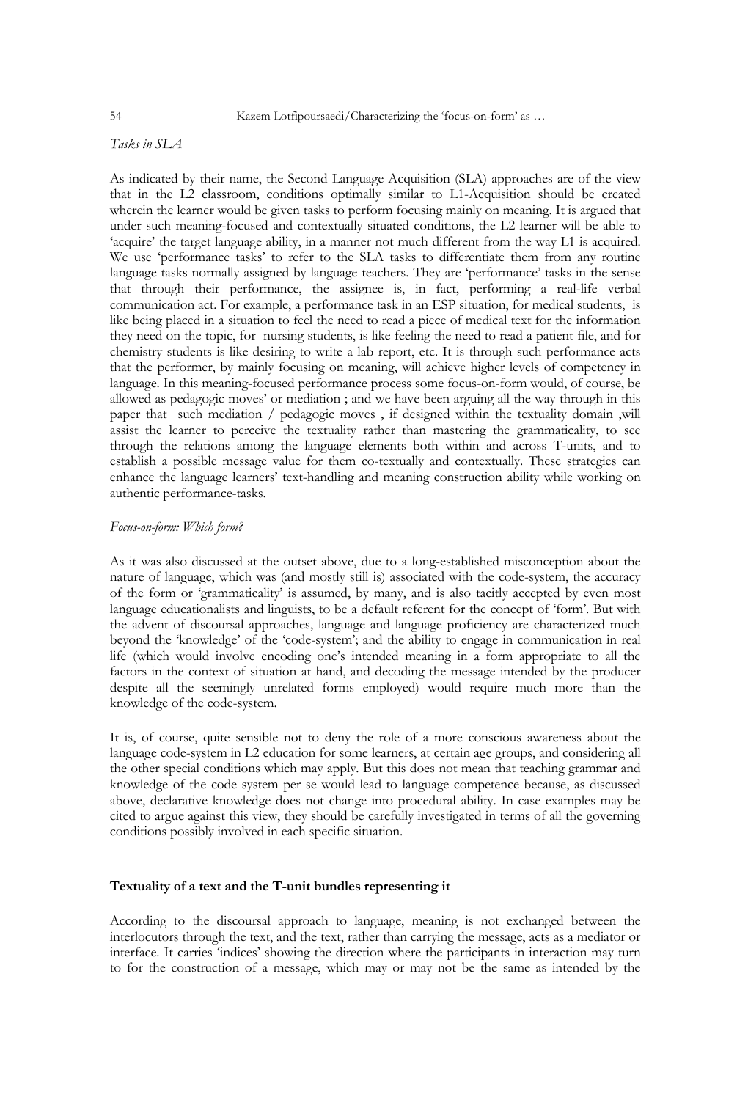## *Tasks in SLA*

As indicated by their name, the Second Language Acquisition (SLA) approaches are of the view that in the L2 classroom, conditions optimally similar to L1-Acquisition should be created wherein the learner would be given tasks to perform focusing mainly on meaning. It is argued that under such meaning-focused and contextually situated conditions, the L2 learner will be able to 'acquire' the target language ability, in a manner not much different from the way L1 is acquired. We use 'performance tasks' to refer to the SLA tasks to differentiate them from any routine language tasks normally assigned by language teachers. They are 'performance' tasks in the sense that through their performance, the assignee is, in fact, performing a real-life verbal communication act. For example, a performance task in an ESP situation, for medical students, is like being placed in a situation to feel the need to read a piece of medical text for the information they need on the topic, for nursing students, is like feeling the need to read a patient file, and for chemistry students is like desiring to write a lab report, etc. It is through such performance acts that the performer, by mainly focusing on meaning, will achieve higher levels of competency in language. In this meaning-focused performance process some focus-on-form would, of course, be allowed as pedagogic moves' or mediation ; and we have been arguing all the way through in this paper that such mediation / pedagogic moves , if designed within the textuality domain ,will assist the learner to perceive the textuality rather than mastering the grammaticality, to see through the relations among the language elements both within and across T-units, and to establish a possible message value for them co-textually and contextually. These strategies can enhance the language learners' text-handling and meaning construction ability while working on authentic performance-tasks.

#### *Focus-on-form: Which form?*

As it was also discussed at the outset above, due to a long-established misconception about the nature of language, which was (and mostly still is) associated with the code-system, the accuracy of the form or 'grammaticality' is assumed, by many, and is also tacitly accepted by even most language educationalists and linguists, to be a default referent for the concept of 'form'. But with the advent of discoursal approaches, language and language proficiency are characterized much beyond the 'knowledge' of the 'code-system'; and the ability to engage in communication in real life (which would involve encoding one's intended meaning in a form appropriate to all the factors in the context of situation at hand, and decoding the message intended by the producer despite all the seemingly unrelated forms employed) would require much more than the knowledge of the code-system.

It is, of course, quite sensible not to deny the role of a more conscious awareness about the language code-system in L2 education for some learners, at certain age groups, and considering all the other special conditions which may apply. But this does not mean that teaching grammar and knowledge of the code system per se would lead to language competence because, as discussed above, declarative knowledge does not change into procedural ability. In case examples may be cited to argue against this view, they should be carefully investigated in terms of all the governing conditions possibly involved in each specific situation.

## **Textuality of a text and the T-unit bundles representing it**

According to the discoursal approach to language, meaning is not exchanged between the interlocutors through the text, and the text, rather than carrying the message, acts as a mediator or interface. It carries 'indices' showing the direction where the participants in interaction may turn to for the construction of a message, which may or may not be the same as intended by the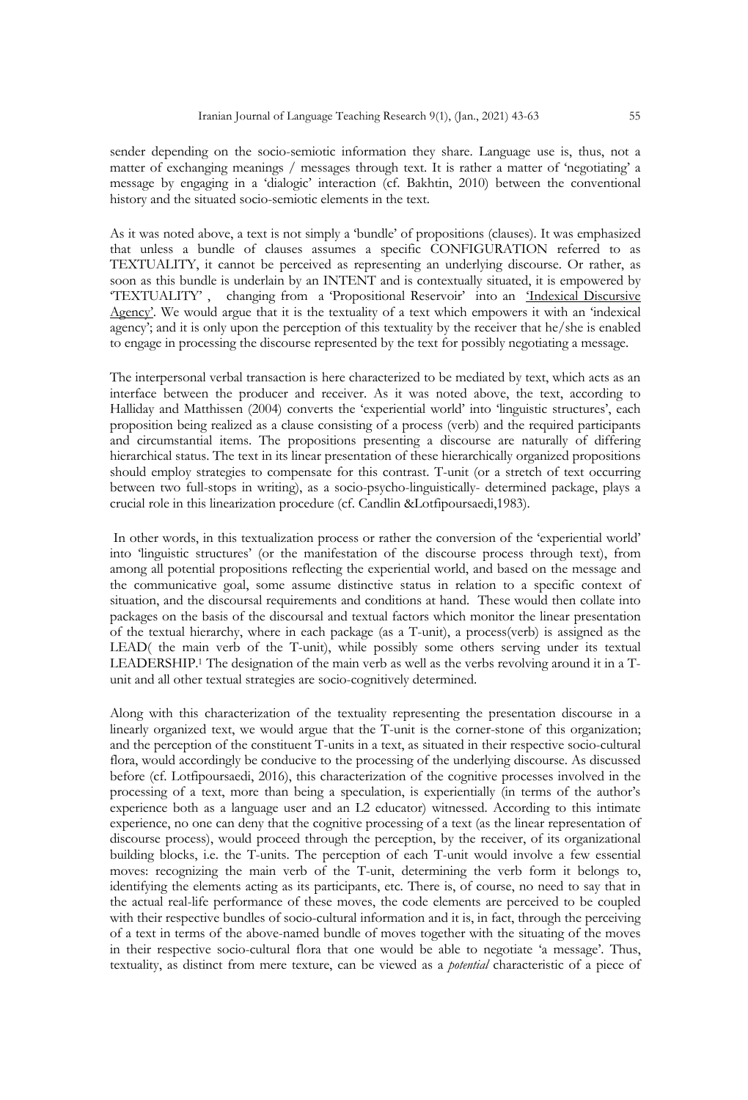sender depending on the socio-semiotic information they share. Language use is, thus, not a matter of exchanging meanings / messages through text. It is rather a matter of 'negotiating' a message by engaging in a 'dialogic' interaction (cf. Bakhtin, 2010) between the conventional history and the situated socio-semiotic elements in the text.

As it was noted above, a text is not simply a 'bundle' of propositions (clauses). It was emphasized that unless a bundle of clauses assumes a specific CONFIGURATION referred to as TEXTUALITY, it cannot be perceived as representing an underlying discourse. Or rather, as soon as this bundle is underlain by an INTENT and is contextually situated, it is empowered by 'TEXTUALITY' , changing from a 'Propositional Reservoir' into an 'Indexical Discursive Agency'. We would argue that it is the textuality of a text which empowers it with an 'indexical agency'; and it is only upon the perception of this textuality by the receiver that he/she is enabled to engage in processing the discourse represented by the text for possibly negotiating a message.

The interpersonal verbal transaction is here characterized to be mediated by text, which acts as an interface between the producer and receiver. As it was noted above, the text, according to Halliday and Matthissen (2004) converts the 'experiential world' into 'linguistic structures', each proposition being realized as a clause consisting of a process (verb) and the required participants and circumstantial items. The propositions presenting a discourse are naturally of differing hierarchical status. The text in its linear presentation of these hierarchically organized propositions should employ strategies to compensate for this contrast. T-unit (or a stretch of text occurring between two full-stops in writing), as a socio-psycho-linguistically- determined package, plays a crucial role in this linearization procedure (cf. Candlin &Lotfipoursaedi,1983).

In other words, in this textualization process or rather the conversion of the 'experiential world' into 'linguistic structures' (or the manifestation of the discourse process through text), from among all potential propositions reflecting the experiential world, and based on the message and the communicative goal, some assume distinctive status in relation to a specific context of situation, and the discoursal requirements and conditions at hand. These would then collate into packages on the basis of the discoursal and textual factors which monitor the linear presentation of the textual hierarchy, where in each package (as a T-unit), a process(verb) is assigned as the LEAD( the main verb of the T-unit), while possibly some others serving under its textual LEADERSHIP.<sup>1</sup> The designation of the main verb as well as the verbs revolving around it in a Tunit and all other textual strategies are socio-cognitively determined.

Along with this characterization of the textuality representing the presentation discourse in a linearly organized text, we would argue that the T-unit is the corner-stone of this organization; and the perception of the constituent T-units in a text, as situated in their respective socio-cultural flora, would accordingly be conducive to the processing of the underlying discourse. As discussed before (cf. Lotfipoursaedi, 2016), this characterization of the cognitive processes involved in the processing of a text, more than being a speculation, is experientially (in terms of the author's experience both as a language user and an L2 educator) witnessed. According to this intimate experience, no one can deny that the cognitive processing of a text (as the linear representation of discourse process), would proceed through the perception, by the receiver, of its organizational building blocks, i.e. the T-units. The perception of each T-unit would involve a few essential moves: recognizing the main verb of the T-unit, determining the verb form it belongs to, identifying the elements acting as its participants, etc. There is, of course, no need to say that in the actual real-life performance of these moves, the code elements are perceived to be coupled with their respective bundles of socio-cultural information and it is, in fact, through the perceiving of a text in terms of the above-named bundle of moves together with the situating of the moves in their respective socio-cultural flora that one would be able to negotiate 'a message'. Thus, textuality, as distinct from mere texture, can be viewed as a *potential* characteristic of a piece of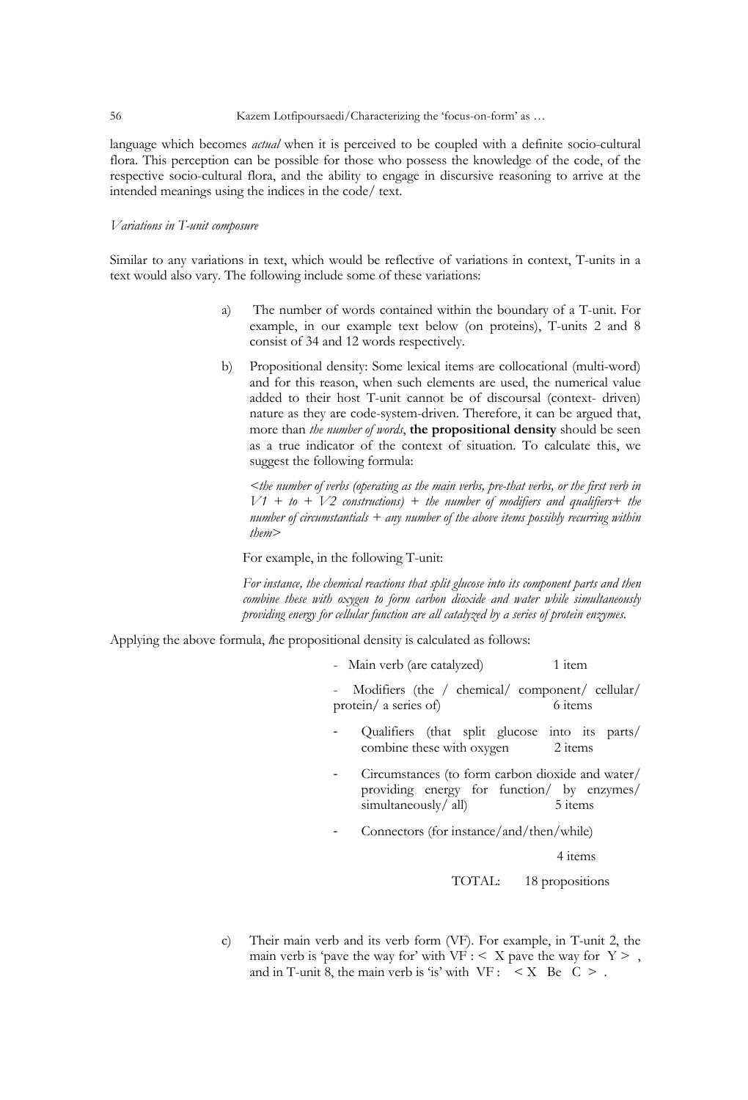language which becomes *actual* when it is perceived to be coupled with a definite socio-cultural flora. This perception can be possible for those who possess the knowledge of the code, of the respective socio-cultural flora, and the ability to engage in discursive reasoning to arrive at the intended meanings using the indices in the code/ text.

## *Variations in T-unit composure*

Similar to any variations in text, which would be reflective of variations in context, T-units in a text would also vary. The following include some of these variations:

- a) The number of words contained within the boundary of a T-unit. For example, in our example text below (on proteins), T-units 2 and 8 consist of 34 and 12 words respectively.
- b) Propositional density: Some lexical items are collocational (multi-word) and for this reason, when such elements are used, the numerical value added to their host T-unit cannot be of discoursal (context- driven) nature as they are code-system-driven. Therefore, it can be argued that, more than *the number of words*, **the propositional density** should be seen as a true indicator of the context of situation. To calculate this, we suggest the following formula:

*<the number of verbs (operating as the main verbs, pre-that verbs, or the first verb in*   $V1 + t0 + V2$  constructions) + the number of modifiers and qualifiers + the *number of circumstantials + any number of the above items possibly recurring within them>*

For example, in the following T-unit:

*For instance, the chemical reactions that split glucose into its component parts and then combine these with oxygen to form carbon dioxide and water while simultaneously providing energy for cellular function are all catalyzed by a series of protein enzymes.*

Applying the above formula, *t*he propositional density is calculated as follows:

- Main verb (are catalyzed) 1 item

Modifiers (the / chemical/ component/ cellular/ protein/ a series of) 6 items

- Qualifiers (that split glucose into its parts/ combine these with oxygen 2 items
- Circumstances (to form carbon dioxide and water/ providing energy for function/ by enzymes/ simultaneously/all) 5 items
- Connectors (for instance/and/then/while)

4 items

TOTAL: 18 propositions

c) Their main verb and its verb form (VF). For example, in T-unit 2, the main verb is 'pave the way for' with  $VF : < X$  pave the way for  $Y >$ , and in T-unit 8, the main verb is 'is' with  $VF: < X$  Be  $C > 1$ .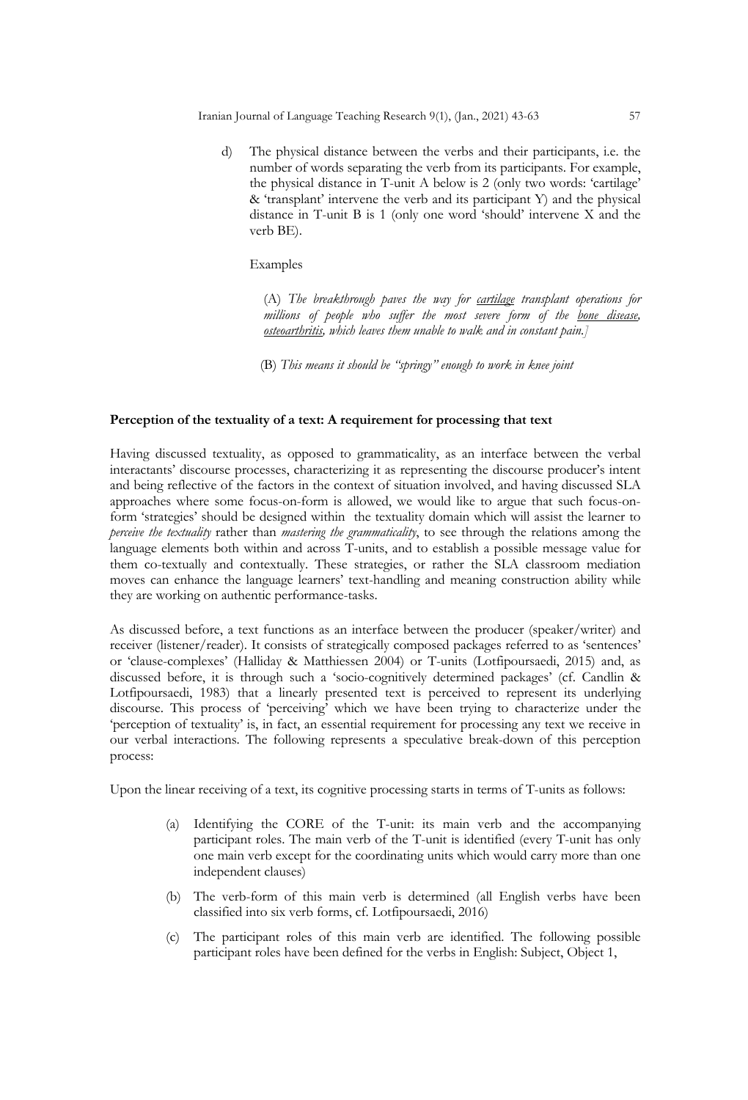d) The physical distance between the verbs and their participants, i.e. the number of words separating the verb from its participants. For example, the physical distance in T-unit A below is 2 (only two words: 'cartilage' & 'transplant' intervene the verb and its participant Y) and the physical distance in T-unit B is 1 (only one word 'should' intervene X and the verb BE).

## Examples

(A) *The breakthrough paves the way for cartilage transplant operations for millions of people who suffer the most severe form of the bone disease, osteoarthritis, which leaves them unable to walk and in constant pain.]*

(B) *This means it should be "springy" enough to work in knee joint* 

## **Perception of the textuality of a text: A requirement for processing that text**

Having discussed textuality, as opposed to grammaticality, as an interface between the verbal interactants' discourse processes, characterizing it as representing the discourse producer's intent and being reflective of the factors in the context of situation involved, and having discussed SLA approaches where some focus-on-form is allowed, we would like to argue that such focus-onform 'strategies' should be designed within the textuality domain which will assist the learner to *perceive the textuality* rather than *mastering the grammaticality*, to see through the relations among the language elements both within and across T-units, and to establish a possible message value for them co-textually and contextually. These strategies, or rather the SLA classroom mediation moves can enhance the language learners' text-handling and meaning construction ability while they are working on authentic performance-tasks.

As discussed before, a text functions as an interface between the producer (speaker/writer) and receiver (listener/reader). It consists of strategically composed packages referred to as 'sentences' or 'clause-complexes' (Halliday & Matthiessen 2004) or T-units (Lotfipoursaedi, 2015) and, as discussed before, it is through such a 'socio-cognitively determined packages' (cf. Candlin & Lotfipoursaedi, 1983) that a linearly presented text is perceived to represent its underlying discourse. This process of 'perceiving' which we have been trying to characterize under the 'perception of textuality' is, in fact, an essential requirement for processing any text we receive in our verbal interactions. The following represents a speculative break-down of this perception process:

Upon the linear receiving of a text, its cognitive processing starts in terms of T-units as follows:

- (a) Identifying the CORE of the T-unit: its main verb and the accompanying participant roles. The main verb of the T-unit is identified (every T-unit has only one main verb except for the coordinating units which would carry more than one independent clauses)
- (b) The verb-form of this main verb is determined (all English verbs have been classified into six verb forms, cf. Lotfipoursaedi, 2016)
- (c) The participant roles of this main verb are identified. The following possible participant roles have been defined for the verbs in English: Subject, Object 1,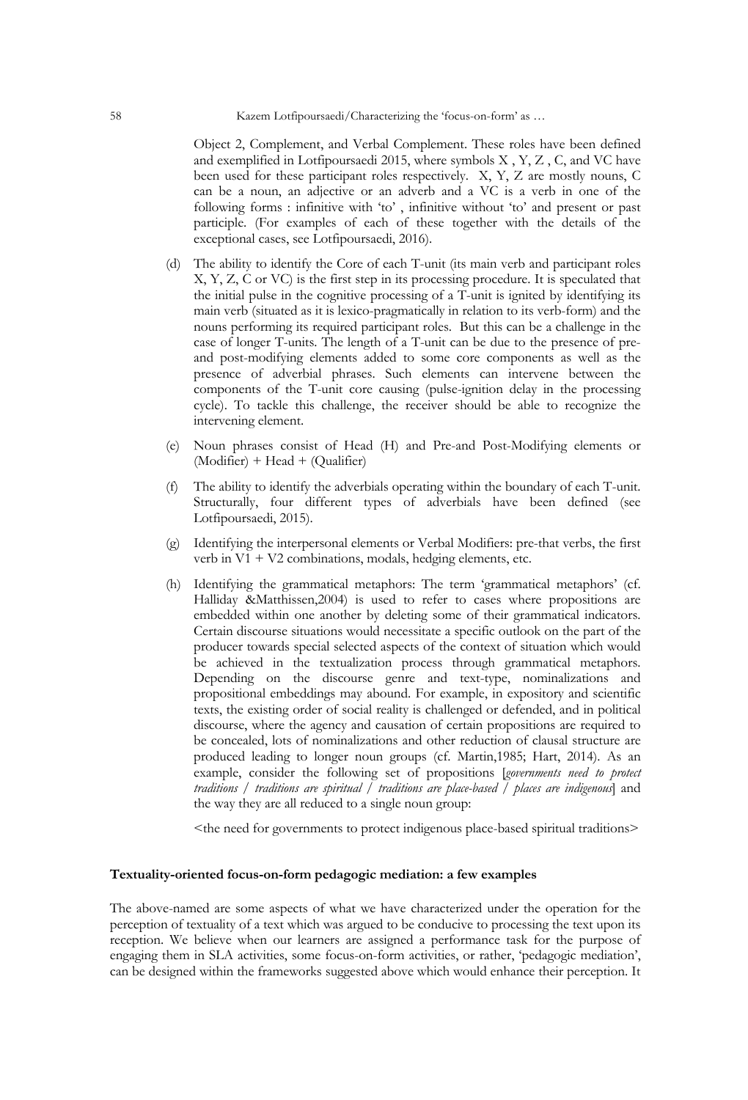Object 2, Complement, and Verbal Complement. These roles have been defined and exemplified in Lotfipoursaedi 2015, where symbols X , Y, Z , C, and VC have been used for these participant roles respectively. X, Y, Z are mostly nouns, C can be a noun, an adjective or an adverb and a VC is a verb in one of the following forms : infinitive with 'to' , infinitive without 'to' and present or past participle. (For examples of each of these together with the details of the exceptional cases, see Lotfipoursaedi, 2016).

- (d) The ability to identify the Core of each T-unit (its main verb and participant roles X, Y, Z, C or VC) is the first step in its processing procedure. It is speculated that the initial pulse in the cognitive processing of a T-unit is ignited by identifying its main verb (situated as it is lexico-pragmatically in relation to its verb-form) and the nouns performing its required participant roles. But this can be a challenge in the case of longer T-units. The length of a T-unit can be due to the presence of preand post-modifying elements added to some core components as well as the presence of adverbial phrases. Such elements can intervene between the components of the T-unit core causing (pulse-ignition delay in the processing cycle). To tackle this challenge, the receiver should be able to recognize the intervening element.
- (e) Noun phrases consist of Head (H) and Pre-and Post-Modifying elements or (Modifier) + Head + (Qualifier)
- (f) The ability to identify the adverbials operating within the boundary of each T-unit. Structurally, four different types of adverbials have been defined (see Lotfipoursaedi, 2015).
- (g) Identifying the interpersonal elements or Verbal Modifiers: pre-that verbs, the first verb in  $V1 + V2$  combinations, modals, hedging elements, etc.
- (h) Identifying the grammatical metaphors: The term 'grammatical metaphors' (cf. Halliday &Matthissen,2004) is used to refer to cases where propositions are embedded within one another by deleting some of their grammatical indicators. Certain discourse situations would necessitate a specific outlook on the part of the producer towards special selected aspects of the context of situation which would be achieved in the textualization process through grammatical metaphors. Depending on the discourse genre and text-type, nominalizations and propositional embeddings may abound. For example, in expository and scientific texts, the existing order of social reality is challenged or defended, and in political discourse, where the agency and causation of certain propositions are required to be concealed, lots of nominalizations and other reduction of clausal structure are produced leading to longer noun groups (cf. Martin,1985; Hart, 2014). As an example, consider the following set of propositions [*governments need to protect traditions / traditions are spiritual / traditions are place-based / places are indigenous*] and the way they are all reduced to a single noun group:

<the need for governments to protect indigenous place-based spiritual traditions>

## **Textuality-oriented focus-on-form pedagogic mediation: a few examples**

The above-named are some aspects of what we have characterized under the operation for the perception of textuality of a text which was argued to be conducive to processing the text upon its reception. We believe when our learners are assigned a performance task for the purpose of engaging them in SLA activities, some focus-on-form activities, or rather, 'pedagogic mediation', can be designed within the frameworks suggested above which would enhance their perception. It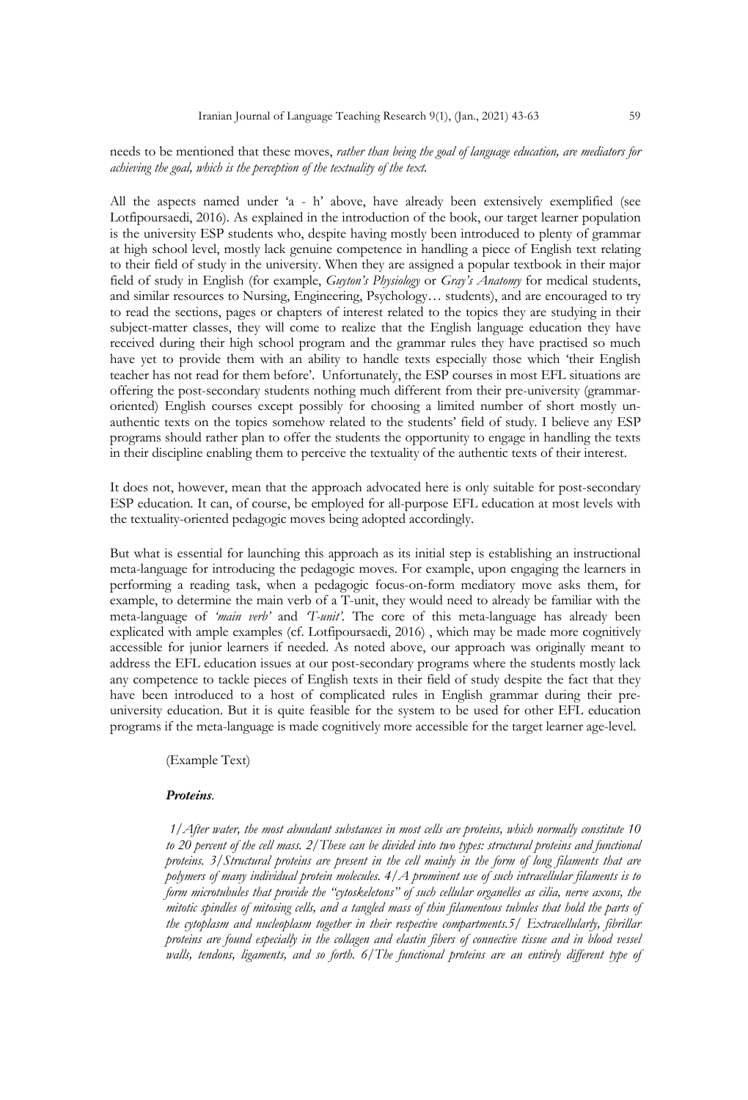## needs to be mentioned that these moves, *rather than being the goal of language education, are mediators for achieving the goal, which is the perception of the textuality of the text.*

All the aspects named under 'a - h' above, have already been extensively exemplified (see Lotfipoursaedi, 2016). As explained in the introduction of the book, our target learner population is the university ESP students who, despite having mostly been introduced to plenty of grammar at high school level, mostly lack genuine competence in handling a piece of English text relating to their field of study in the university. When they are assigned a popular textbook in their major field of study in English (for example, *Guyton's Physiology* or *Gray's Anatomy* for medical students, and similar resources to Nursing, Engineering, Psychology… students), and are encouraged to try to read the sections, pages or chapters of interest related to the topics they are studying in their subject-matter classes, they will come to realize that the English language education they have received during their high school program and the grammar rules they have practised so much have yet to provide them with an ability to handle texts especially those which 'their English teacher has not read for them before'. Unfortunately, the ESP courses in most EFL situations are offering the post-secondary students nothing much different from their pre-university (grammaroriented) English courses except possibly for choosing a limited number of short mostly unauthentic texts on the topics somehow related to the students' field of study. I believe any ESP programs should rather plan to offer the students the opportunity to engage in handling the texts in their discipline enabling them to perceive the textuality of the authentic texts of their interest.

It does not, however, mean that the approach advocated here is only suitable for post-secondary ESP education. It can, of course, be employed for all-purpose EFL education at most levels with the textuality-oriented pedagogic moves being adopted accordingly.

But what is essential for launching this approach as its initial step is establishing an instructional meta-language for introducing the pedagogic moves. For example, upon engaging the learners in performing a reading task, when a pedagogic focus-on-form mediatory move asks them, for example, to determine the main verb of a T-unit, they would need to already be familiar with the meta-language of *'main verb'* and *'T-unit'*. The core of this meta-language has already been explicated with ample examples (cf. Lotfipoursaedi, 2016) , which may be made more cognitively accessible for junior learners if needed. As noted above, our approach was originally meant to address the EFL education issues at our post-secondary programs where the students mostly lack any competence to tackle pieces of English texts in their field of study despite the fact that they have been introduced to a host of complicated rules in English grammar during their preuniversity education. But it is quite feasible for the system to be used for other EFL education programs if the meta-language is made cognitively more accessible for the target learner age-level.

(Example Text)

#### *Proteins.*

*1/After water, the most abundant substances in most cells are proteins, which normally constitute 10 to 20 percent of the cell mass. 2/These can be divided into two types: structural proteins and functional proteins. 3/Structural proteins are present in the cell mainly in the form of long filaments that are polymers of many individual protein molecules. 4/A prominent use of such intracellular filaments is to form microtubules that provide the "cytoskeletons" of such cellular organelles as cilia, nerve axons, the mitotic spindles of mitosing cells, and a tangled mass of thin filamentous tubules that hold the parts of the cytoplasm and nucleoplasm together in their respective compartments.5/ Extracellularly, fibrillar proteins are found especially in the collagen and elastin fibers of connective tissue and in blood vessel walls, tendons, ligaments, and so forth. 6/The functional proteins are an entirely different type of*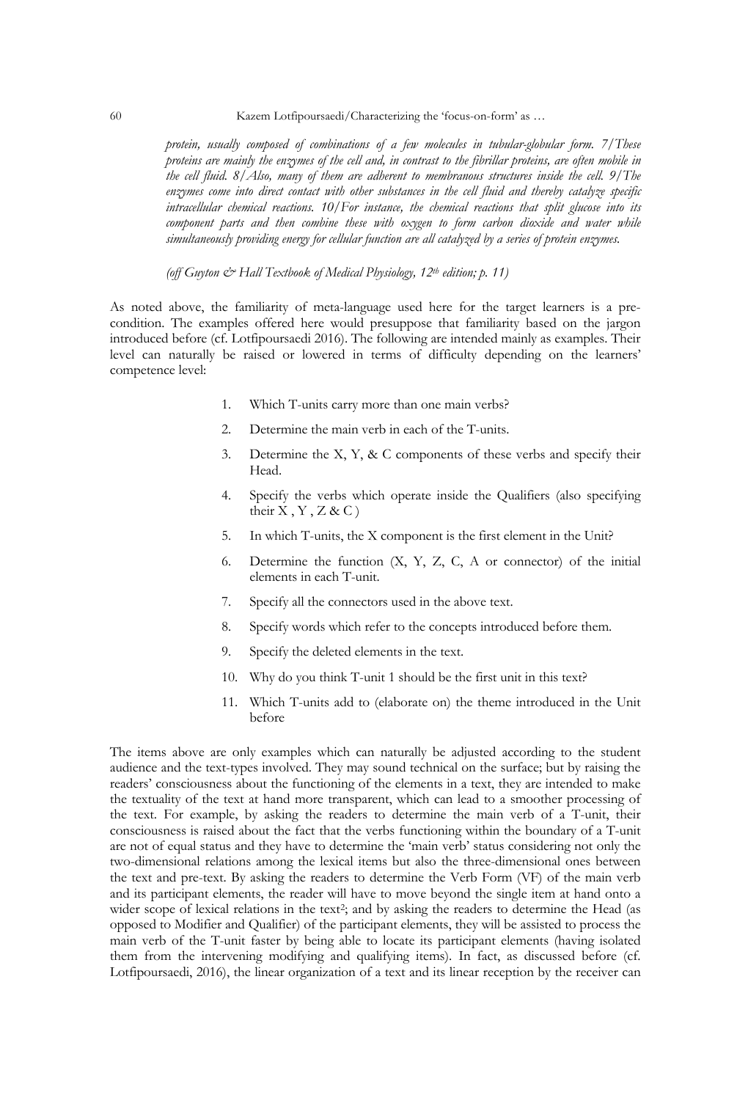60 Kazem Lotfipoursaedi/Characterizing the 'focus-on-form' as …

*protein, usually composed of combinations of a few molecules in tubular-globular form. 7/These proteins are mainly the enzymes of the cell and, in contrast to the fibrillar proteins, are often mobile in the cell fluid. 8/Also, many of them are adherent to membranous structures inside the cell. 9/The enzymes come into direct contact with other substances in the cell fluid and thereby catalyze specific intracellular chemical reactions. 10/For instance, the chemical reactions that split glucose into its component parts and then combine these with oxygen to form carbon dioxide and water while simultaneously providing energy for cellular function are all catalyzed by a series of protein enzymes.*

 *(off Guyton & Hall Textbook of Medical Physiology, 12th edition; p. 11)*

As noted above, the familiarity of meta-language used here for the target learners is a precondition. The examples offered here would presuppose that familiarity based on the jargon introduced before (cf. Lotfipoursaedi 2016). The following are intended mainly as examples. Their level can naturally be raised or lowered in terms of difficulty depending on the learners' competence level:

- 1. Which T-units carry more than one main verbs?
- 2. Determine the main verb in each of the T-units.
- 3. Determine the X, Y, & C components of these verbs and specify their Head.
- 4. Specify the verbs which operate inside the Qualifiers (also specifying their  $X, Y, Z &C$
- 5. In which T-units, the X component is the first element in the Unit?
- 6. Determine the function (X, Y, Z, C, A or connector) of the initial elements in each T-unit.
- 7. Specify all the connectors used in the above text.
- 8. Specify words which refer to the concepts introduced before them.
- 9. Specify the deleted elements in the text.
- 10. Why do you think T-unit 1 should be the first unit in this text?
- 11. Which T-units add to (elaborate on) the theme introduced in the Unit before

The items above are only examples which can naturally be adjusted according to the student audience and the text-types involved. They may sound technical on the surface; but by raising the readers' consciousness about the functioning of the elements in a text, they are intended to make the textuality of the text at hand more transparent, which can lead to a smoother processing of the text. For example, by asking the readers to determine the main verb of a T-unit, their consciousness is raised about the fact that the verbs functioning within the boundary of a T-unit are not of equal status and they have to determine the 'main verb' status considering not only the two-dimensional relations among the lexical items but also the three-dimensional ones between the text and pre-text. By asking the readers to determine the Verb Form (VF) of the main verb and its participant elements, the reader will have to move beyond the single item at hand onto a wider scope of lexical relations in the text<sup>2</sup>; and by asking the readers to determine the Head (as opposed to Modifier and Qualifier) of the participant elements, they will be assisted to process the main verb of the T-unit faster by being able to locate its participant elements (having isolated them from the intervening modifying and qualifying items). In fact, as discussed before (cf. Lotfipoursaedi, 2016), the linear organization of a text and its linear reception by the receiver can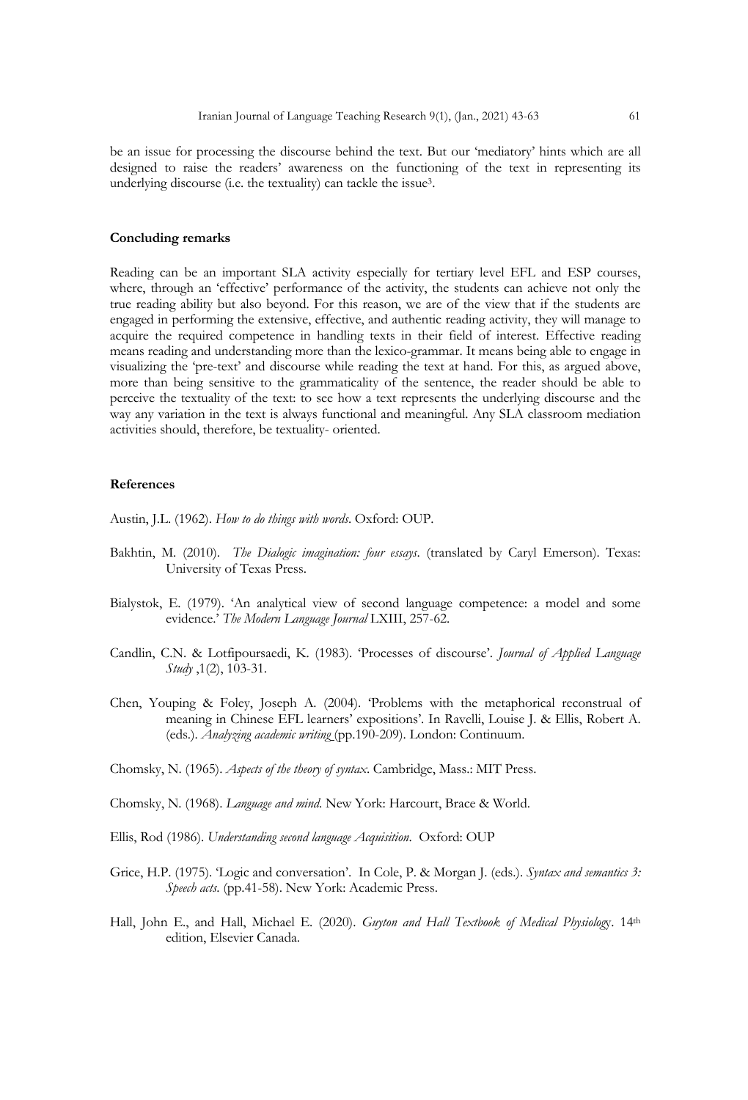be an issue for processing the discourse behind the text. But our 'mediatory' hints which are all designed to raise the readers' awareness on the functioning of the text in representing its underlying discourse (i.e. the textuality) can tackle the issue3.

#### **Concluding remarks**

Reading can be an important SLA activity especially for tertiary level EFL and ESP courses, where, through an 'effective' performance of the activity, the students can achieve not only the true reading ability but also beyond. For this reason, we are of the view that if the students are engaged in performing the extensive, effective, and authentic reading activity, they will manage to acquire the required competence in handling texts in their field of interest. Effective reading means reading and understanding more than the lexico-grammar. It means being able to engage in visualizing the 'pre-text' and discourse while reading the text at hand. For this, as argued above, more than being sensitive to the grammaticality of the sentence, the reader should be able to perceive the textuality of the text: to see how a text represents the underlying discourse and the way any variation in the text is always functional and meaningful. Any SLA classroom mediation activities should, therefore, be textuality- oriented.

#### **References**

Austin, J.L. (1962). *How to do things with words*. Oxford: OUP.

- Bakhtin, M. (2010). *The Dialogic imagination: four essays*. (translated by Caryl Emerson). Texas: University of Texas Press.
- Bialystok, E. (1979). 'An analytical view of second language competence: a model and some evidence.' *The Modern Language Journal* LXIII, 257-62.
- Candlin, C.N. & Lotfipoursaedi, K. (1983). 'Processes of discourse'. *Journal of Applied Language Study* ,1(2), 103-31.
- Chen, Youping & Foley, Joseph A. (2004). 'Problems with the metaphorical reconstrual of meaning in Chinese EFL learners' expositions'. In Ravelli, Louise J. & Ellis, Robert A. (eds.). *Analyzing academic writing* (pp.190-209). London: Continuum.

Chomsky, N. (1965). *Aspects of the theory of syntax*. Cambridge, Mass.: MIT Press.

Chomsky, N. (1968). *Language and mind*. New York: Harcourt, Brace & World.

- Ellis, Rod (1986). *Understanding second language Acquisition*. Oxford: OUP
- Grice, H.P. (1975). 'Logic and conversation'. In Cole, P. & Morgan J. (eds.). *Syntax and semantics 3: Speech acts*. (pp.41-58). New York: Academic Press.
- Hall, John E., and Hall, Michael E. (2020). *Guyton and Hall Textbook of Medical Physiolog*y. 14th edition, Elsevier Canada.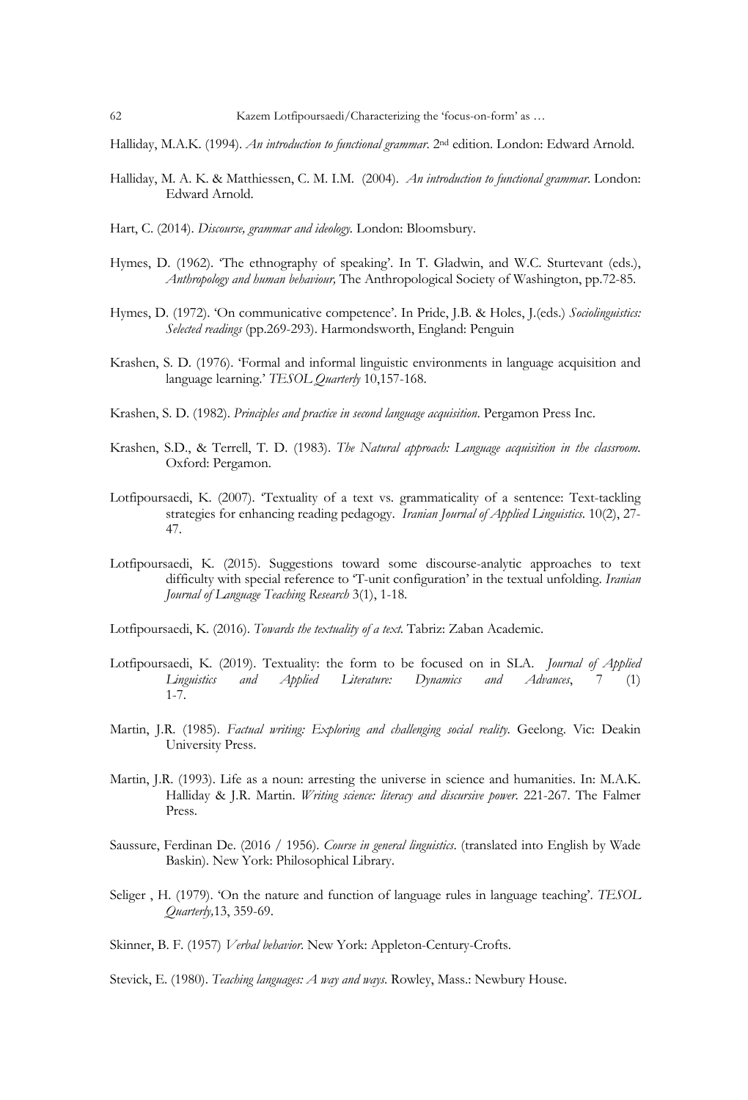Halliday, M.A.K. (1994). *An introduction to functional grammar*. 2nd edition. London: Edward Arnold.

- Halliday, M. A. K. & Matthiessen, C. M. I.M. (2004). *An introduction to functional grammar*. London: Edward Arnold.
- Hart, C. (2014). *Discourse, grammar and ideology.* London: Bloomsbury.
- Hymes, D. (1962). 'The ethnography of speaking'. In T. Gladwin, and W.C. Sturtevant (eds.), *Anthropology and human behaviour,* The Anthropological Society of Washington, pp.72-85.
- Hymes, D. (1972). 'On communicative competence'. In Pride, J.B. & Holes, J.(eds.) *Sociolinguistics: Selected readings* (pp.269-293). Harmondsworth, England: Penguin
- Krashen, S. D. (1976). 'Formal and informal linguistic environments in language acquisition and language learning.' *TESOL Quarterly* 10,157-168.
- Krashen, S. D. (1982). *Principles and practice in second language acquisition*. Pergamon Press Inc.
- Krashen, S.D., & Terrell, T. D. (1983). *The Natural approach: Language acquisition in the classroom*. Oxford: Pergamon.
- Lotfipoursaedi, K. (2007). 'Textuality of a text vs. grammaticality of a sentence: Text-tackling strategies for enhancing reading pedagogy. *Iranian Journal of Applied Linguistics*. 10(2), 27- 47.
- Lotfipoursaedi, K. (2015). Suggestions toward some discourse-analytic approaches to text difficulty with special reference to 'T-unit configuration' in the textual unfolding. *Iranian Journal of Language Teaching Research* 3(1), 1-18.
- Lotfipoursaedi, K. (2016). *Towards the textuality of a text.* Tabriz: Zaban Academic.
- Lotfipoursaedi, K. (2019). Textuality: the form to be focused on in SLA. *Journal of Applied Linguistics and Applied Literature: Dynamics and Advances*, 7 (1) 1-7.
- Martin, J.R. (1985). *Factual writing: Exploring and challenging social reality*. Geelong. Vic: Deakin University Press.
- Martin, J.R. (1993). Life as a noun: arresting the universe in science and humanities. In: M.A.K. Halliday & J.R. Martin. *Writing science: literacy and discursive power*. 221-267. The Falmer Press.
- Saussure, Ferdinan De. (2016 / 1956). *Course in general linguistics*. (translated into English by Wade Baskin). New York: Philosophical Library.
- Seliger , H. (1979). 'On the nature and function of language rules in language teaching'. *TESOL Quarterly,*13, 359-69.

Skinner, B. F. (1957) *Verbal behavior*. New York: Appleton-Century-Crofts.

Stevick, E. (1980). *Teaching languages: A way and ways*. Rowley, Mass.: Newbury House.